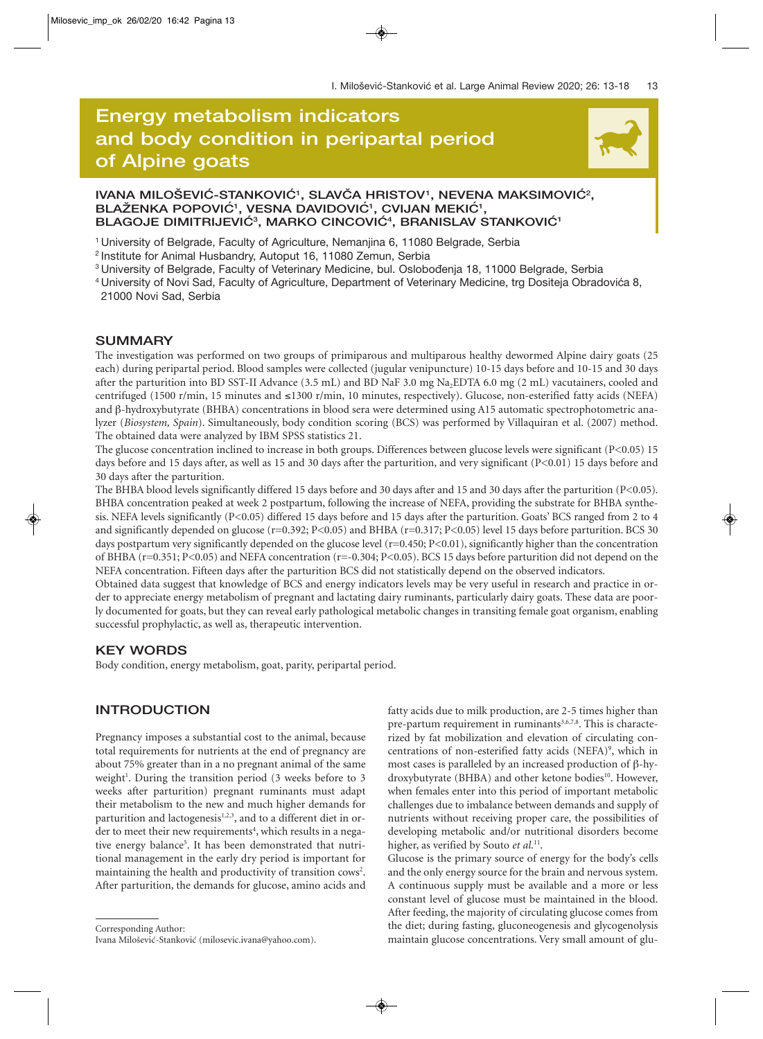# **Energy metabolism indicators and body condition in peripartal period Energy metabolism indicators<br>and body condition in peripartal period<br>of Alpine goats**



# IVANA MILOŠEVIĆ-STANKOVIĆ<sup>1</sup>, SLAVČA HRISTOV<sup>1</sup>, NEVENA MAKSIMOVIĆ<sup>2</sup>, BLAŽENKA POPOVIĆ<sup>1</sup>, VESNA DAVIDOVIĆ<sup>1</sup>, CVIJAN MEKIĆ<sup>1</sup>, **BLAGOJE DIMITRIJEVIC´ <sup>3</sup> , MARKO CINCOVIC´ <sup>4</sup> , BRANISLAV STANKOVIC´ <sup>1</sup>**

1 University of Belgrade, Faculty of Agriculture, Nemanjina 6, 11080 Belgrade, Serbia

2 Institute for Animal Husbandry, Autoput 16, 11080 Zemun, Serbia

<sup>3</sup> University of Belgrade, Faculty of Veterinary Medicine, bul. Oslobođenja 18, 11000 Belgrade, Serbia

<sup>4</sup> University of Novi Sad, Faculty of Agriculture, Department of Veterinary Medicine, trg Dositeja Obradovića 8, 21000 Novi Sad, Serbia

#### **SUMMARY**

The investigation was performed on two groups of primiparous and multiparous healthy dewormed Alpine dairy goats (25 each) during peripartal period. Blood samples were collected (jugular venipuncture) 10-15 days before and 10-15 and 30 days after the parturition into BD SST-II Advance (3.5 mL) and BD NaF 3.0 mg Na<sub>2</sub>EDTA 6.0 mg (2 mL) vacutainers, cooled and centrifuged (1500 r/min, 15 minutes and ≤1300 r/min, 10 minutes, respectively). Glucose, non-esterified fatty acids (NEFA) and β-hydroxybutyrate (BHBA) concentrations in blood sera were determined using A15 automatic spectrophotometric analyzer (*Biosystem, Spain*). Simultaneously, body condition scoring (BCS) was performed by Villaquiran et al. (2007) method. The obtained data were analyzed by IBM SPSS statistics 21.

The glucose concentration inclined to increase in both groups. Differences between glucose levels were significant (P<0.05) 15 days before and 15 days after, as well as 15 and 30 days after the parturition, and very significant (P<0.01) 15 days before and 30 days after the parturition.

The BHBA blood levels significantly differed 15 days before and 30 days after and 15 and 30 days after the parturition (P<0.05). BHBA concentration peaked at week 2 postpartum, following the increase of NEFA, providing the substrate for BHBA synthesis. NEFA levels significantly (P<0.05) differed 15 days before and 15 days after the parturition. Goats' BCS ranged from 2 to 4 and significantly depended on glucose (r=0.392; P<0.05) and BHBA (r=0.317; P<0.05) level 15 days before parturition. BCS 30 days postpartum very significantly depended on the glucose level (r=0.450; P<0.01), significantly higher than the concentration of BHBA (r=0.351; P<0.05) and NEFA concentration (r=-0.304; P<0.05). BCS 15 days before parturition did not depend on the NEFA concentration. Fifteen days after the parturition BCS did not statistically depend on the observed indicators.

Obtained data suggest that knowledge of BCS and energy indicators levels may be very useful in research and practice in order to appreciate energy metabolism of pregnant and lactating dairy ruminants, particularly dairy goats. These data are poorly documented for goats, but they can reveal early pathological metabolic changes in transiting female goat organism, enabling successful prophylactic, as well as, therapeutic intervention.

#### **KEY WORDS**

Body condition, energy metabolism, goat, parity, peripartal period.

# **INTRODUCTION**

Pregnancy imposes a substantial cost to the animal, because total requirements for nutrients at the end of pregnancy are about 75% greater than in a no pregnant animal of the same weight<sup>1</sup>. During the transition period (3 weeks before to 3 weeks after parturition) pregnant ruminants must adapt their metabolism to the new and much higher demands for parturition and lactogenesis<sup>1,2,3</sup>, and to a different diet in order to meet their new requirements<sup>4</sup>, which results in a negative energy balance<sup>5</sup>. It has been demonstrated that nutritional management in the early dry period is important for maintaining the health and productivity of transition cows<sup>2</sup>. After parturition, the demands for glucose, amino acids and

Corresponding Author:

Ivana Milošević-Stanković (milosevic.ivana@yahoo.com).

fatty acids due to milk production, are 2-5 times higher than pre-partum requirement in ruminants $3,6,7,8$ . This is characterized by fat mobilization and elevation of circulating concentrations of non-esterified fatty acids (NEFA)<sup>9</sup>, which in most cases is paralleled by an increased production of β-hydroxybutyrate (BHBA) and other ketone bodies<sup>10</sup>. However, when females enter into this period of important metabolic challenges due to imbalance between demands and supply of nutrients without receiving proper care, the possibilities of developing metabolic and/or nutritional disorders become higher, as verified by Souto et al.<sup>11</sup>.

Glucose is the primary source of energy for the body's cells and the only energy source for the brain and nervous system. A continuous supply must be available and a more or less constant level of glucose must be maintained in the blood. After feeding, the majority of circulating glucose comes from the diet; during fasting, gluconeogenesis and glycogenolysis maintain glucose concentrations. Very small amount of glu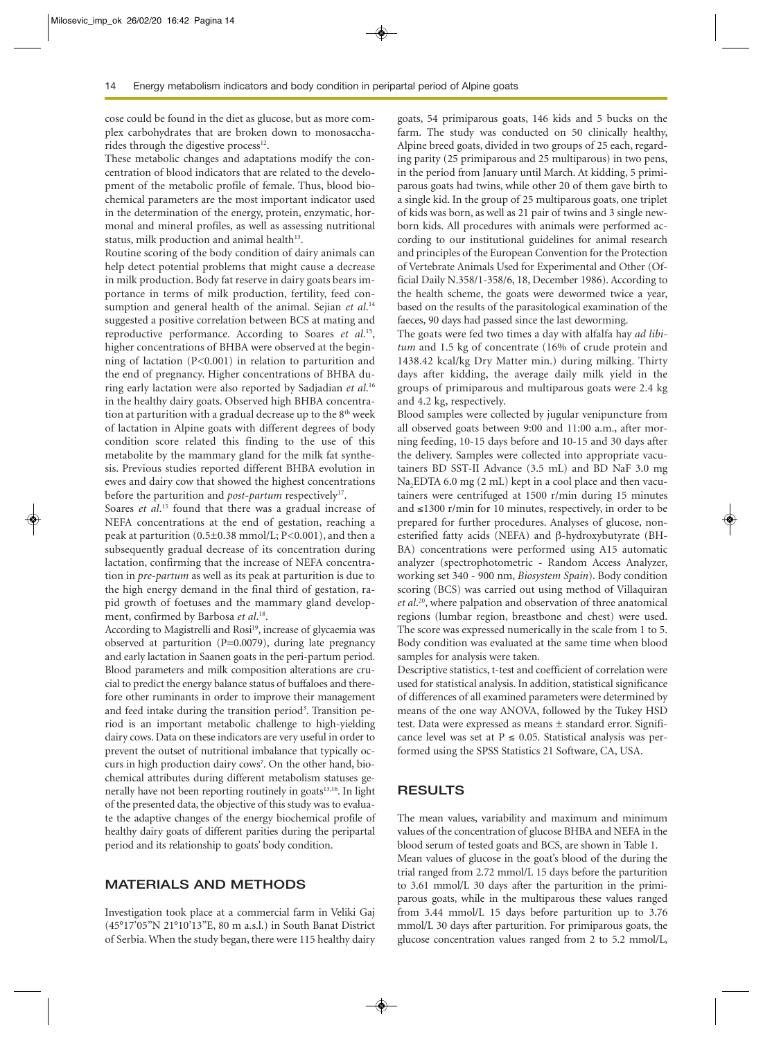cose could be found in the diet as glucose, but as more complex carbohydrates that are broken down to monosaccharides through the digestive process $12$ .

These metabolic changes and adaptations modify the concentration of blood indicators that are related to the development of the metabolic profile of female. Thus, blood biochemical parameters are the most important indicator used in the determination of the energy, protein, enzymatic, hormonal and mineral profiles, as well as assessing nutritional status, milk production and animal health<sup>13</sup>.

Routine scoring of the body condition of dairy animals can help detect potential problems that might cause a decrease in milk production. Body fat reserve in dairy goats bears importance in terms of milk production, fertility, feed consumption and general health of the animal. Sejian *et al*. 14 suggested a positive correlation between BCS at mating and reproductive performance. According to Soares *et al*. 15, higher concentrations of BHBA were observed at the beginning of lactation (P<0.001) in relation to parturition and the end of pregnancy. Higher concentrations of BHBA during early lactation were also reported by Sadjadian *et al*. 16 in the healthy dairy goats. Observed high BHBA concentration at parturition with a gradual decrease up to the  $8<sup>th</sup>$  week of lactation in Alpine goats with different degrees of body condition score related this finding to the use of this metabolite by the mammary gland for the milk fat synthesis. Previous studies reported different BHBA evolution in ewes and dairy cow that showed the highest concentrations before the parturition and *post-partum* respectively<sup>17</sup>.

Soares *et al.*<sup>15</sup> found that there was a gradual increase of NEFA concentrations at the end of gestation, reaching a peak at parturition (0.5±0.38 mmol/L; P<0.001), and then a subsequently gradual decrease of its concentration during lactation, confirming that the increase of NEFA concentration in *pre-partum* as well as its peak at parturition is due to the high energy demand in the final third of gestation, rapid growth of foetuses and the mammary gland development, confirmed by Barbosa *et al*. 18.

According to Magistrelli and Rosi<sup>19</sup>, increase of glycaemia was observed at parturition (P=0.0079), during late pregnancy and early lactation in Saanen goats in the peri-partum period. Blood parameters and milk composition alterations are crucial to predict the energy balance status of buffaloes and therefore other ruminants in order to improve their management and feed intake during the transition period<sup>3</sup>. Transition period is an important metabolic challenge to high-yielding dairy cows. Data on these indicators are very useful in order to prevent the outset of nutritional imbalance that typically occurs in high production dairy cows<sup>7</sup>. On the other hand, biochemical attributes during different metabolism statuses generally have not been reporting routinely in goats<sup>13,16</sup>. In light of the presented data, the objective of this study was to evaluate the adaptive changes of the energy biochemical profile of healthy dairy goats of different parities during the peripartal period and its relationship to goats' body condition.

## **MATERIALS AND METHODS**

Investigation took place at a commercial farm in Veliki Gaj (45°17'05"N 21°10'13"E, 80 m a.s.l.) in South Banat District of Serbia. When the study began, there were 115 healthy dairy goats, 54 primiparous goats, 146 kids and 5 bucks on the farm. The study was conducted on 50 clinically healthy, Alpine breed goats, divided in two groups of 25 each, regarding parity (25 primiparous and 25 multiparous) in two pens, in the period from January until March. At kidding, 5 primiparous goats had twins, while other 20 of them gave birth to a single kid. In the group of 25 multiparous goats, one triplet of kids was born, as well as 21 pair of twins and 3 single newborn kids. All procedures with animals were performed according to our institutional guidelines for animal research and principles of the European Convention for the Protection of Vertebrate Animals Used for Experimental and Other (Official Daily N.358/1-358/6, 18, December 1986). According to the health scheme, the goats were dewormed twice a year, based on the results of the parasitological examination of the faeces, 90 days had passed since the last deworming.

The goats were fed two times a day with alfalfa hay *ad libitum* and 1.5 kg of concentrate (16% of crude protein and 1438.42 kcal/kg Dry Matter min.) during milking. Thirty days after kidding, the average daily milk yield in the groups of primiparous and multiparous goats were 2.4 kg and 4.2 kg, respectively.

Blood samples were collected by jugular venipuncture from all observed goats between 9:00 and 11:00 a.m., after morning feeding, 10-15 days before and 10-15 and 30 days after the delivery. Samples were collected into appropriate vacutainers BD SST-II Advance (3.5 mL) and BD NaF 3.0 mg Na2EDTA 6.0 mg (2 mL) kept in a cool place and then vacutainers were centrifuged at 1500 r/min during 15 minutes and ≤1300 r/min for 10 minutes, respectively, in order to be prepared for further procedures. Analyses of glucose, nonesterified fatty acids (NEFA) and β-hydroxybutyrate (BH-BA) concentrations were performed using A15 automatic analyzer (spectrophotometric - Random Access Analyzer, working set 340 - 900 nm, *Biosystem Spain*). Body condition scoring (BCS) was carried out using method of Villaquiran *et al*. 20, where palpation and observation of three anatomical regions (lumbar region, breastbone and chest) were used. The score was expressed numerically in the scale from 1 to 5. Body condition was evaluated at the same time when blood samples for analysis were taken.

Descriptive statistics, t-test and coefficient of correlation were used for statistical analysis. In addition, statistical significance of differences of all examined parameters were determined by means of the one way ANOVA, followed by the Tukey HSD test. Data were expressed as means ± standard error. Significance level was set at  $P \le 0.05$ . Statistical analysis was performed using the SPSS Statistics 21 Software, CA, USA.

# **RESULTS**

The mean values, variability and maximum and minimum values of the concentration of glucose BHBA and NEFA in the blood serum of tested goats and BCS, are shown in Table 1. Mean values of glucose in the goat's blood of the during the trial ranged from 2.72 mmol/L 15 days before the parturition to 3.61 mmol/L 30 days after the parturition in the primiparous goats, while in the multiparous these values ranged from 3.44 mmol/L 15 days before parturition up to 3.76 mmol/L 30 days after parturition. For primiparous goats, the glucose concentration values ranged from 2 to 5.2 mmol/L,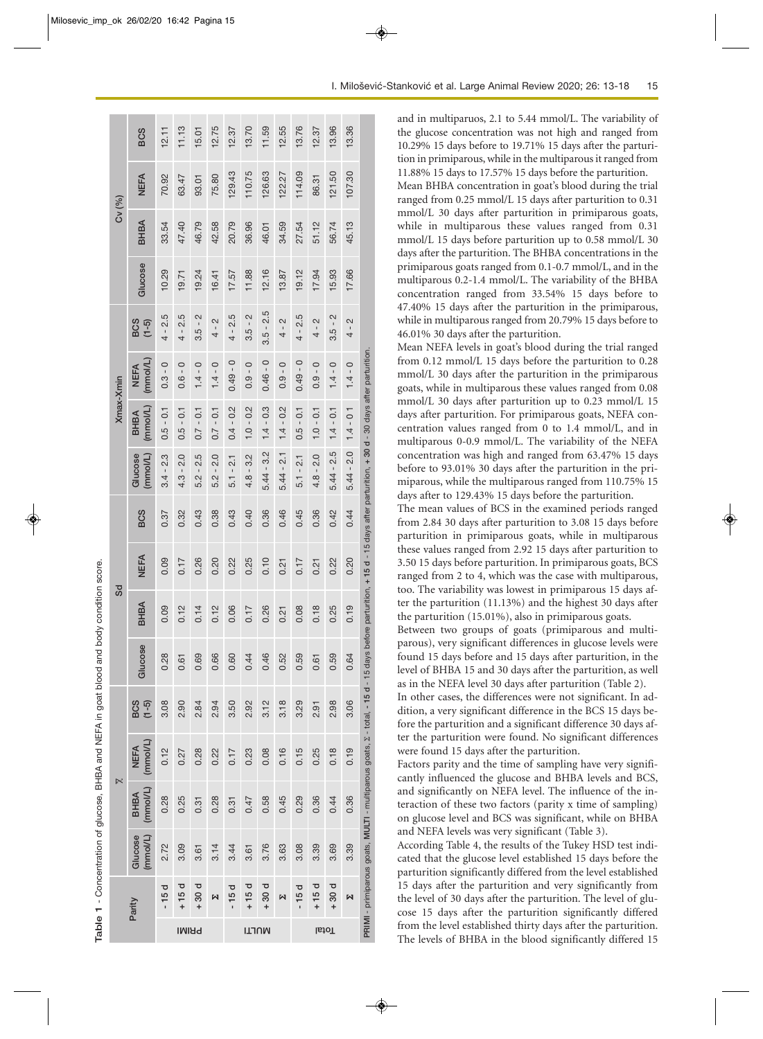| Cv (%)<br>Xmax-Xmin | BHBA<br>Glucose                                  | 33.54<br>10.29             | 47.40<br>19.71             | 46.79<br>19.24             | 42.58<br>16.41<br>2        | 20.79<br>17.57             | 36.96<br>11.88             | 46.01<br>12.16                    | 34.59<br>13.87              | 27.54<br>19.12                          | 51.12<br>17.94<br>$\sim$      | 56.74<br>15.93                   | 45.13<br>17.66              |                                                                                          |
|---------------------|--------------------------------------------------|----------------------------|----------------------------|----------------------------|----------------------------|----------------------------|----------------------------|-----------------------------------|-----------------------------|-----------------------------------------|-------------------------------|----------------------------------|-----------------------------|------------------------------------------------------------------------------------------|
|                     | <b>BCS</b><br>$(1-5)$<br>(mmol/L)<br><b>NEFA</b> | $4 - 2.5$<br>$0.3 - 0$     | $4 - 2.5$<br>$0.6 - 0$     | $3.5 - 2$<br>$1.4 - 0$     | $\frac{1}{4}$<br>$1.4 - 0$ | $4 - 2.5$<br>$0.49 - 0$    | $3.5 - 2$<br>$0.9 - 0$     | $3.5 - 2.5$<br>$0.46 - 0$         | $4 - 2$<br>$0.9 - 0$        | $4 - 2.5$<br>$0.49 - 0$                 | $\frac{1}{4}$<br>$0.9 - 0$    | $3.5 - 2$<br>$1.4 - 0$           | $4 - 2$<br>$1.4 - 0$        |                                                                                          |
| Sd                  | (mmol/L)<br>BHBA<br>(mmol/L)<br>Glucose          | $0.5 - 0.1$<br>$3.4 - 2.3$ | $0.5 - 0.1$<br>$4.3 - 2.0$ | $0.7 - 0.1$<br>$5.2 - 2.5$ | $0.7 - 0.1$<br>$5.2 - 2.0$ | $0.4 - 0.2$<br>$5.1 - 2.1$ | $1.0 - 0.2$<br>$4.8 - 3.2$ | $1.4 - 0.3$<br>$5.44 - 3.2$       | $1.4 - 0.2$<br>$5.44 - 2.1$ | $0.5 - 0.1$<br>$\frac{1}{2}$<br>$5.1 -$ | $1.0 - 0.1$<br>2.0<br>$4.8 -$ | $1.4 - 0.1$<br>$5.44 - 2.5$      | $1.4 - 0.1$<br>$5.44 - 2.0$ | parturition, + 15 d - 15 days after parturition, + 30 d - 30 days after parturition.     |
|                     | <b>BCS</b><br><b>NEFA</b>                        | 0.37<br>0.09               | 0.32<br>0.17               | 0.43<br>0.26               | 0.38<br>0.20               | 0.43<br>0.22               | 0.40<br>0.25               | 0.36<br>0.10                      | 0.46<br>0.21                | 0.45<br>0.17                            | 0.36<br>0.21                  | 0.42<br>0.22                     | 0.44<br>0.20                |                                                                                          |
|                     | BHBA<br>Glucose                                  | 0.09<br>0.28               | 0.12<br>0.61               | 0.14<br>0.69               | 0.12<br>0.66               | 0.06<br>0.60               | 0.17<br>0.44               | 0.26<br>0.46                      | 0.21<br>0.52                | 0.08<br>0.59                            | 0.18<br>0.61                  | 0.25<br>0.59                     | 0.19<br>0.64                |                                                                                          |
| $\bowtie$           | BCS<br>$(1 - 5)$                                 | 3.08                       | 2.90                       | 2.84                       | 2.94                       | 3.50                       | 2.92                       | 3.12                              | 3.18                        | 3.29                                    | 2.91                          | 2.98                             | 3.06                        |                                                                                          |
|                     | (mmol/L)<br><b>NEFA</b><br>(mmol/L)<br>BHBA      | 0.12<br>0.28               | 0.27<br>0.25               | 0.28<br>0.31               | 0.22<br>0.28               | 0.17<br>0.31               | 0.23<br>0.47               | 0.08<br>0.58                      | 0.16<br>0.45                | 0.15<br>0.29                            | 0.25<br>0.36                  | 0.18<br>0.44                     | 0.19<br>0.36                | PRIMI - primiparous goats, MULTI - multiparous goats, Z - total, - 15 d - 15 days before |
|                     | (mmol/L)<br>Glucose                              | 2.72                       | 3.09                       | 3.61                       | 3.14                       | 3.44                       | 3.61                       | 3.76                              | 3.63                        | 3.08                                    | 3.39                          | 3.69                             | 3.39                        |                                                                                          |
| Parity              |                                                  | $-15d$                     | $+15d$<br><b>PRIMI</b>     | 30d<br>$\ddot{}$           | М                          | $-15d$                     | $+15d$                     | 30 d<br>$\ddot{}$<br><b>ILTIN</b> | M                           | $-15d$                                  | $+15d$                        | 30d<br>$\ddot{}$<br><b>IstoT</b> | 冈                           |                                                                                          |

and in multiparuos, 2.1 to 5.44 mmol/L. The variability of the glucose concentration was not high and ranged from 10.29% 15 days before to 19.71% 15 days after the parturition in primiparous, while in the multiparous it ranged from 11.88% 15 days to 17.57% 15 days before the parturition. Mean BHBA concentration in goat's blood during the trial ranged from 0.25 mmol/L 15 days after parturition to 0.31 mmol/L 30 days after parturition in primiparous goats, while in multiparous these values ranged from 0.31 mmol/L 15 days before parturition up to 0.58 mmol/L 30 days after the parturition. The BHBA concentrations in the primiparous goats ranged from 0.1-0.7 mmol/L, and in the multiparous 0.2-1.4 mmol/L. The variability of the BHBA concentration ranged from 33.54% 15 days before to 47.40% 15 days after the parturition in the primiparous, while in multiparous ranged from 20.79% 15 days before to 46.01% 30 days after the parturition.

Mean NEFA levels in goat's blood during the trial ranged from 0.12 mmol/L 15 days before the parturition to 0.28 mmol/L 30 days after the parturition in the primiparous goats, while in multiparous these values ranged from 0.08 mmol/L 30 days after parturition up to 0.23 mmol/L 15 days after parturition. For primiparous goats, NEFA concentration values ranged from 0 to 1.4 mmol/L, and in multiparous 0-0.9 mmol/L. The variability of the NEFA concentration was high and ranged from 63.47% 15 days before to 93.01% 30 days after the parturition in the primiparous, while the multiparous ranged from 110.75% 15 days after to 129.43% 15 days before the parturition.

The mean values of BCS in the examined periods ranged from 2.84 30 days after parturition to 3.08 15 days before parturition in primiparous goats, while in multiparous these values ranged from 2.92 15 days after parturition to 3.50 15 days before parturition. In primiparous goats, BCS ranged from 2 to 4, which was the case with multiparous, too. The variability was lowest in primiparous 15 days after the parturition (11.13%) and the highest 30 days after the parturition (15.01%), also in primiparous goats.

Between two groups of goats (primiparous and multiparous), very significant differences in glucose levels were found 15 days before and 15 days after parturition, in the level of BHBA 15 and 30 days after the parturition, as well as in the NEFA level 30 days after parturition (Table 2).

In other cases, the differences were not significant. In addition, a very significant difference in the BCS 15 days before the parturition and a significant difference 30 days after the parturition were found. No significant differences were found 15 days after the parturition.

Factors parity and the time of sampling have very significantly influenced the glucose and BHBA levels and BCS, and significantly on NEFA level. The influence of the interaction of these two factors (parity x time of sampling) on glucose level and BCS was significant, while on BHBA and NEFA levels was very significant (Table 3).

According Table 4, the results of the Tukey HSD test indicated that the glucose level established 15 days before the parturition significantly differed from the level established 15 days after the parturition and very significantly from the level of 30 days after the parturition. The level of glucose 15 days after the parturition significantly differed from the level established thirty days after the parturition. The levels of BHBA in the blood significantly differed 15

Table 1 - Concentration of glucose, BHBA and NEFA in goat blood and body condition score **Table 1** - Concentration of glucose, BHBA and NEFA in goat blood and body condition score.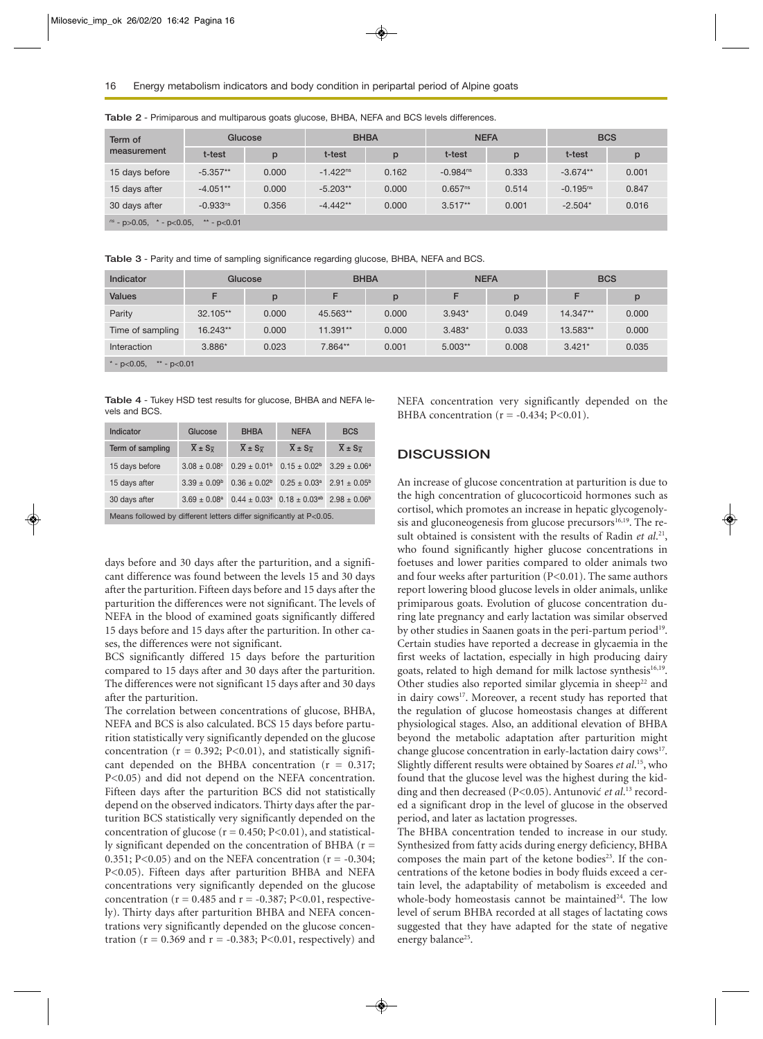| Term of                                                       | Glucose       |       | <b>BHBA</b>   |       | <b>NEFA</b>            |       | <b>BCS</b>    |       |  |
|---------------------------------------------------------------|---------------|-------|---------------|-------|------------------------|-------|---------------|-------|--|
| measurement                                                   | t-test        | p     | t-test        | p     | t-test                 | p     | t-test        | p     |  |
| 15 days before                                                | $-5.357**$    | 0.000 | $-1.422^{ns}$ | 0.162 | $-0.984$ <sup>ns</sup> | 0.333 | $-3.674**$    | 0.001 |  |
| 15 days after                                                 | $-4.051**$    | 0.000 | $-5.203**$    | 0.000 | 0.657 <sup>ns</sup>    | 0.514 | $-0.195^{ns}$ | 0.847 |  |
| 30 days after                                                 | $-0.933^{ns}$ | 0.356 | $-4.442**$    | 0.000 | $3.517**$              | 0.001 | $-2.504*$     | 0.016 |  |
| $\frac{ns}{s}$ - p > 0.05,<br>* - $p<0.05$ ,<br>** - $p<0.01$ |               |       |               |       |                        |       |               |       |  |

**Table 2** - Primiparous and multiparous goats glucose, BHBA, NEFA and BCS levels differences.

**Table 3** - Parity and time of sampling significance regarding glucose, BHBA, NEFA and BCS.

| Indicator                       | Glucose  |       | <b>BHBA</b> |       | <b>NEFA</b> |       | <b>BCS</b> |       |  |
|---------------------------------|----------|-------|-------------|-------|-------------|-------|------------|-------|--|
| <b>Values</b>                   | F        | p     | F           | p     | F           | p     |            |       |  |
| Parity                          | 32.105** | 0.000 | 45.563**    | 0.000 | $3.943*$    | 0.049 | 14.347**   | 0.000 |  |
| Time of sampling                | 16.243** | 0.000 | 11.391**    | 0.000 | $3.483*$    | 0.033 | 13.583**   | 0.000 |  |
| Interaction                     | $3.886*$ | 0.023 | 7.864**     | 0.001 | $5.003**$   | 0.008 | $3.421*$   | 0.035 |  |
| * - $p<0.05$ ,<br>** - $p<0.01$ |          |       |             |       |             |       |            |       |  |

**Table 4** - Tukey HSD test results for glucose, BHBA and NEFA levels and BCS.

| Indicator                                                               | Glucose                             | <b>BHBA</b>                         | <b>NEFA</b>                                                                       | <b>BCS</b>                          |  |  |  |  |  |
|-------------------------------------------------------------------------|-------------------------------------|-------------------------------------|-----------------------------------------------------------------------------------|-------------------------------------|--|--|--|--|--|
| Term of sampling                                                        | $\overline{X} \pm S_{\overline{X}}$ | $\overline{X} \pm S_{\overline{Y}}$ | $\overline{X} \pm S_{\overline{Y}}$                                               | $\overline{X} \pm S_{\overline{Y}}$ |  |  |  |  |  |
| 15 days before                                                          | $3.08 \pm 0.08$ <sup>c</sup>        | $0.29 \pm 0.01^{\circ}$             | $0.15 \pm 0.02^b$                                                                 | $3.29 \pm 0.06^a$                   |  |  |  |  |  |
| 15 days after                                                           | $3.39 \pm 0.09^{\circ}$             | $0.36 \pm 0.02^b$                   | $0.25 \pm 0.03^a$                                                                 | $2.91 \pm 0.05^{\rm b}$             |  |  |  |  |  |
| 30 days after                                                           | $3.69 \pm 0.08^a$                   |                                     | $0.44 \pm 0.03^{\text{a}}$ $0.18 \pm 0.03^{\text{ab}}$ $2.98 \pm 0.06^{\text{b}}$ |                                     |  |  |  |  |  |
| Means followed by different letters differ significantly at $P\lt 0.05$ |                                     |                                     |                                                                                   |                                     |  |  |  |  |  |

Means followed by different letters differ significantly at P<0.05.

days before and 30 days after the parturition, and a significant difference was found between the levels 15 and 30 days after the parturition. Fifteen days before and 15 days after the parturition the differences were not significant. The levels of NEFA in the blood of examined goats significantly differed 15 days before and 15 days after the parturition. In other cases, the differences were not significant.

BCS significantly differed 15 days before the parturition compared to 15 days after and 30 days after the parturition. The differences were not significant 15 days after and 30 days after the parturition.

The correlation between concentrations of glucose, BHBA, NEFA and BCS is also calculated. BCS 15 days before parturition statistically very significantly depended on the glucose concentration ( $r = 0.392$ ; P<0.01), and statistically significant depended on the BHBA concentration  $(r = 0.317;$ P<0.05) and did not depend on the NEFA concentration. Fifteen days after the parturition BCS did not statistically depend on the observed indicators. Thirty days after the parturition BCS statistically very significantly depended on the concentration of glucose ( $r = 0.450$ ; P<0.01), and statistically significant depended on the concentration of BHBA  $(r =$ 0.351; P<0.05) and on the NEFA concentration ( $r = -0.304$ ; P<0.05). Fifteen days after parturition BHBA and NEFA concentrations very significantly depended on the glucose concentration ( $r = 0.485$  and  $r = -0.387$ ; P<0.01, respectively). Thirty days after parturition BHBA and NEFA concentrations very significantly depended on the glucose concentration ( $r = 0.369$  and  $r = -0.383$ ; P<0.01, respectively) and NEFA concentration very significantly depended on the BHBA concentration ( $r = -0.434$ ; P<0.01).

## **DISCUSSION**

An increase of glucose concentration at parturition is due to the high concentration of glucocorticoid hormones such as cortisol, which promotes an increase in hepatic glycogenolysis and gluconeogenesis from glucose precursors $16,19$ . The result obtained is consistent with the results of Radin et al.<sup>21</sup>, who found significantly higher glucose concentrations in foetuses and lower parities compared to older animals two and four weeks after parturition (P<0.01). The same authors report lowering blood glucose levels in older animals, unlike primiparous goats. Evolution of glucose concentration during late pregnancy and early lactation was similar observed by other studies in Saanen goats in the peri-partum period<sup>19</sup>. Certain studies have reported a decrease in glycaemia in the first weeks of lactation, especially in high producing dairy goats, related to high demand for milk lactose synthesis<sup>16,19</sup>. Other studies also reported similar glycemia in sheep<sup>22</sup> and in dairy cows<sup>17</sup>. Moreover, a recent study has reported that the regulation of glucose homeostasis changes at different physiological stages. Also, an additional elevation of BHBA beyond the metabolic adaptation after parturition might change glucose concentration in early-lactation dairy cows<sup>17</sup>. Slightly different results were obtained by Soares *et al*. 15, who found that the glucose level was the highest during the kidding and then decreased (P<0.05). Antunović et al.<sup>13</sup> recorded a significant drop in the level of glucose in the observed period, and later as lactation progresses.

The BHBA concentration tended to increase in our study. Synthesized from fatty acids during energy deficiency, BHBA composes the main part of the ketone bodies<sup>23</sup>. If the concentrations of the ketone bodies in body fluids exceed a certain level, the adaptability of metabolism is exceeded and whole-body homeostasis cannot be maintained<sup>24</sup>. The low level of serum BHBA recorded at all stages of lactating cows suggested that they have adapted for the state of negative energy balance<sup>25</sup>.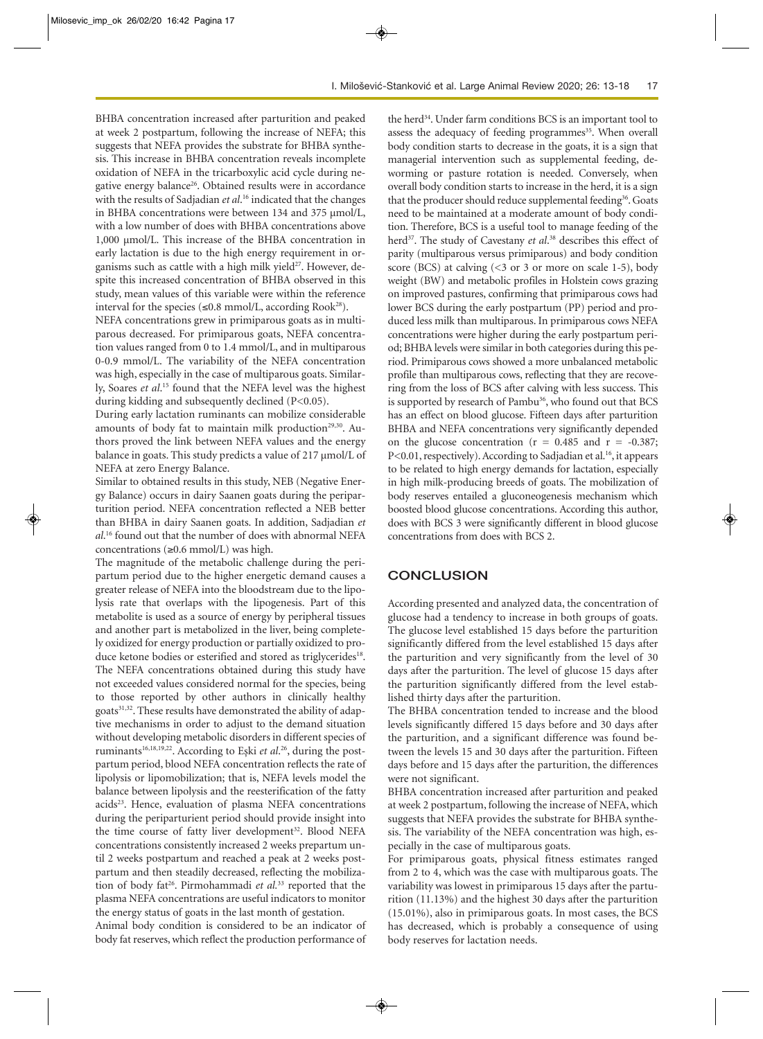BHBA concentration increased after parturition and peaked at week 2 postpartum, following the increase of NEFA; this suggests that NEFA provides the substrate for BHBA synthesis. This increase in BHBA concentration reveals incomplete oxidation of NEFA in the tricarboxylic acid cycle during negative energy balance<sup>26</sup>. Obtained results were in accordance with the results of Sadjadian *et al*. <sup>16</sup> indicated that the changes in BHBA concentrations were between 134 and 375 µmol/L, with a low number of does with BHBA concentrations above 1,000 µmol/L. This increase of the BHBA concentration in early lactation is due to the high energy requirement in organisms such as cattle with a high milk yield<sup>27</sup>. However, despite this increased concentration of BHBA observed in this study, mean values of this variable were within the reference interval for the species ( $\leq 0.8$  mmol/L, according Rook<sup>28</sup>).

NEFA concentrations grew in primiparous goats as in multiparous decreased. For primiparous goats, NEFA concentration values ranged from 0 to 1.4 mmol/L, and in multiparous 0-0.9 mmol/L. The variability of the NEFA concentration was high, especially in the case of multiparous goats. Similarly, Soares *et al*. <sup>15</sup> found that the NEFA level was the highest during kidding and subsequently declined (P<0.05).

During early lactation ruminants can mobilize considerable amounts of body fat to maintain milk production<sup>29,30</sup>. Authors proved the link between NEFA values and the energy balance in goats. This study predicts a value of 217 µmol/L of NEFA at zero Energy Balance.

Similar to obtained results in this study, NEB (Negative Energy Balance) occurs in dairy Saanen goats during the periparturition period. NEFA concentration reflected a NEB better than BHBA in dairy Saanen goats. In addition, Sadjadian *et al*. <sup>16</sup> found out that the number of does with abnormal NEFA concentrations (≥0.6 mmol/L) was high.

The magnitude of the metabolic challenge during the peripartum period due to the higher energetic demand causes a greater release of NEFA into the bloodstream due to the lipolysis rate that overlaps with the lipogenesis. Part of this metabolite is used as a source of energy by peripheral tissues and another part is metabolized in the liver, being completely oxidized for energy production or partially oxidized to produce ketone bodies or esterified and stored as triglycerides<sup>18</sup>. The NEFA concentrations obtained during this study have not exceeded values considered normal for the species, being to those reported by other authors in clinically healthy goats<sup>31,32</sup>. These results have demonstrated the ability of adaptive mechanisms in order to adjust to the demand situation without developing metabolic disorders in different species of ruminants<sup>16,18,19,22</sup>. According to Eşki *et al.*<sup>26</sup>, during the postpartum period, blood NEFA concentration reflects the rate of lipolysis or lipomobilization; that is, NEFA levels model the balance between lipolysis and the reesterification of the fatty acids<sup>23</sup>. Hence, evaluation of plasma NEFA concentrations during the periparturient period should provide insight into the time course of fatty liver development<sup>32</sup>. Blood NEFA concentrations consistently increased 2 weeks prepartum until 2 weeks postpartum and reached a peak at 2 weeks postpartum and then steadily decreased, reflecting the mobilization of body fat<sup>26</sup>. Pirmohammadi et al.<sup>33</sup> reported that the plasma NEFA concentrations are useful indicators to monitor the energy status of goats in the last month of gestation.

Animal body condition is considered to be an indicator of body fat reserves, which reflect the production performance of

the herd<sup>34</sup>. Under farm conditions BCS is an important tool to assess the adequacy of feeding programmes<sup>35</sup>. When overall body condition starts to decrease in the goats, it is a sign that managerial intervention such as supplemental feeding, deworming or pasture rotation is needed. Conversely, when overall body condition starts to increase in the herd, it is a sign that the producer should reduce supplemental feeding<sup>36</sup>. Goats need to be maintained at a moderate amount of body condition. Therefore, BCS is a useful tool to manage feeding of the herd37. The study of Cavestany *et al*. <sup>38</sup> describes this effect of parity (multiparous versus primiparous) and body condition score (BCS) at calving  $($  3 or 3 or more on scale 1-5), body weight (BW) and metabolic profiles in Holstein cows grazing on improved pastures, confirming that primiparous cows had lower BCS during the early postpartum (PP) period and produced less milk than multiparous. In primiparous cows NEFA concentrations were higher during the early postpartum period; BHBA levels were similar in both categories during this period. Primiparous cows showed a more unbalanced metabolic profile than multiparous cows, reflecting that they are recovering from the loss of BCS after calving with less success. This is supported by research of Pambu<sup>36</sup>, who found out that BCS has an effect on blood glucose. Fifteen days after parturition BHBA and NEFA concentrations very significantly depended on the glucose concentration ( $r = 0.485$  and  $r = -0.387$ ; P<0.01, respectively). According to Sadjadian et al.<sup>16</sup>, it appears to be related to high energy demands for lactation, especially in high milk-producing breeds of goats. The mobilization of body reserves entailed a gluconeogenesis mechanism which boosted blood glucose concentrations. According this author, does with BCS 3 were significantly different in blood glucose concentrations from does with BCS 2.

# **CONCLUSION**

According presented and analyzed data, the concentration of glucose had a tendency to increase in both groups of goats. The glucose level established 15 days before the parturition significantly differed from the level established 15 days after the parturition and very significantly from the level of 30 days after the parturition. The level of glucose 15 days after the parturition significantly differed from the level established thirty days after the parturition.

The BHBA concentration tended to increase and the blood levels significantly differed 15 days before and 30 days after the parturition, and a significant difference was found between the levels 15 and 30 days after the parturition. Fifteen days before and 15 days after the parturition, the differences were not significant.

BHBA concentration increased after parturition and peaked at week 2 postpartum, following the increase of NEFA, which suggests that NEFA provides the substrate for BHBA synthesis. The variability of the NEFA concentration was high, especially in the case of multiparous goats.

For primiparous goats, physical fitness estimates ranged from 2 to 4, which was the case with multiparous goats. The variability was lowest in primiparous 15 days after the parturition (11.13%) and the highest 30 days after the parturition (15.01%), also in primiparous goats. In most cases, the BCS has decreased, which is probably a consequence of using body reserves for lactation needs.